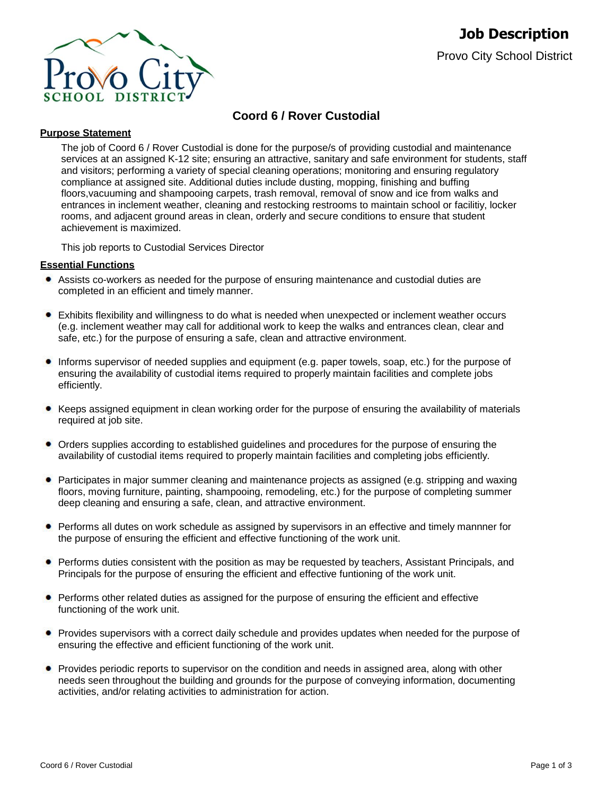

# **Coord 6 / Rover Custodial**

### **Purpose Statement**

The job of Coord 6 / Rover Custodial is done for the purpose/s of providing custodial and maintenance services at an assigned K-12 site; ensuring an attractive, sanitary and safe environment for students, staff and visitors; performing a variety of special cleaning operations; monitoring and ensuring regulatory compliance at assigned site. Additional duties include dusting, mopping, finishing and buffing floors,vacuuming and shampooing carpets, trash removal, removal of snow and ice from walks and entrances in inclement weather, cleaning and restocking restrooms to maintain school or facilitiy, locker rooms, and adjacent ground areas in clean, orderly and secure conditions to ensure that student achievement is maximized.

This job reports to Custodial Services Director

#### **Essential Functions**

- Assists co-workers as needed for the purpose of ensuring maintenance and custodial duties are completed in an efficient and timely manner.
- Exhibits flexibility and willingness to do what is needed when unexpected or inclement weather occurs (e.g. inclement weather may call for additional work to keep the walks and entrances clean, clear and safe, etc.) for the purpose of ensuring a safe, clean and attractive environment.
- Informs supervisor of needed supplies and equipment (e.g. paper towels, soap, etc.) for the purpose of ensuring the availability of custodial items required to properly maintain facilities and complete jobs efficiently.
- Keeps assigned equipment in clean working order for the purpose of ensuring the availability of materials required at job site.
- Orders supplies according to established guidelines and procedures for the purpose of ensuring the availability of custodial items required to properly maintain facilities and completing jobs efficiently.
- Participates in major summer cleaning and maintenance projects as assigned (e.g. stripping and waxing floors, moving furniture, painting, shampooing, remodeling, etc.) for the purpose of completing summer deep cleaning and ensuring a safe, clean, and attractive environment.
- Performs all dutes on work schedule as assigned by supervisors in an effective and timely mannner for the purpose of ensuring the efficient and effective functioning of the work unit.
- **•** Performs duties consistent with the position as may be requested by teachers, Assistant Principals, and Principals for the purpose of ensuring the efficient and effective funtioning of the work unit.
- **•** Performs other related duties as assigned for the purpose of ensuring the efficient and effective functioning of the work unit.
- Provides supervisors with a correct daily schedule and provides updates when needed for the purpose of ensuring the effective and efficient functioning of the work unit.
- Provides periodic reports to supervisor on the condition and needs in assigned area, along with other needs seen throughout the building and grounds for the purpose of conveying information, documenting activities, and/or relating activities to administration for action.